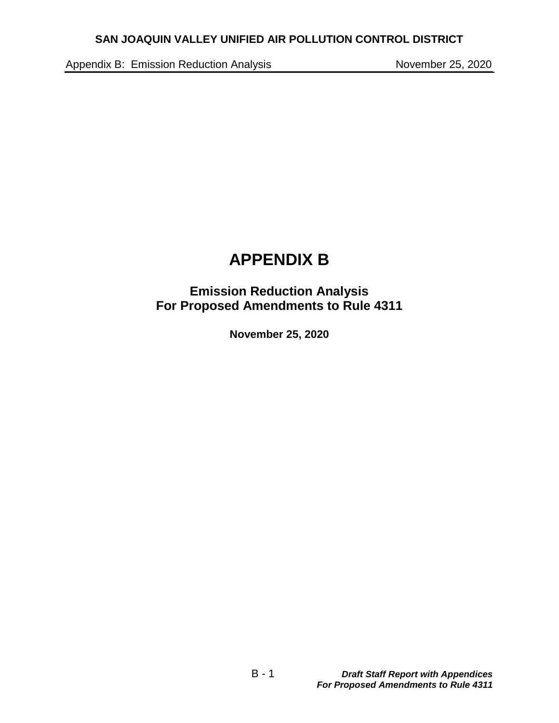# **APPENDIX B**

# **Emission Reduction Analysis For Proposed Amendments to Rule 4311**

**November 25, 2020**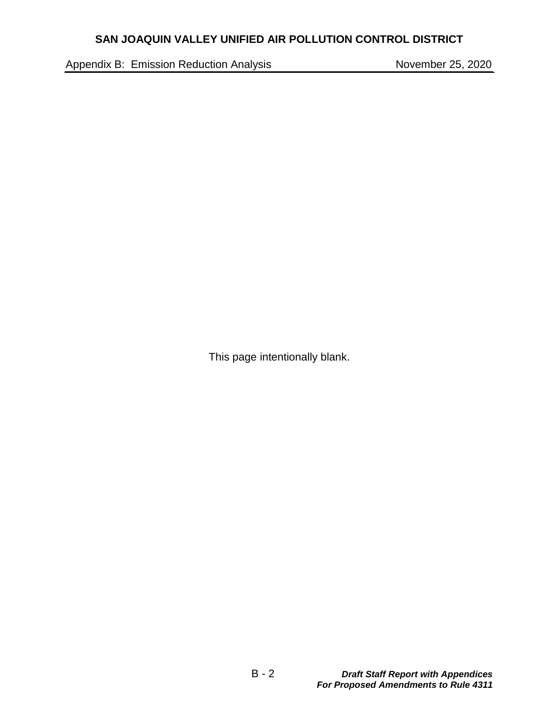### **SAN JOAQUIN VALLEY UNIFIED AIR POLLUTION CONTROL DISTRICT**

Appendix B: Emission Reduction Analysis November 25, 2020

This page intentionally blank.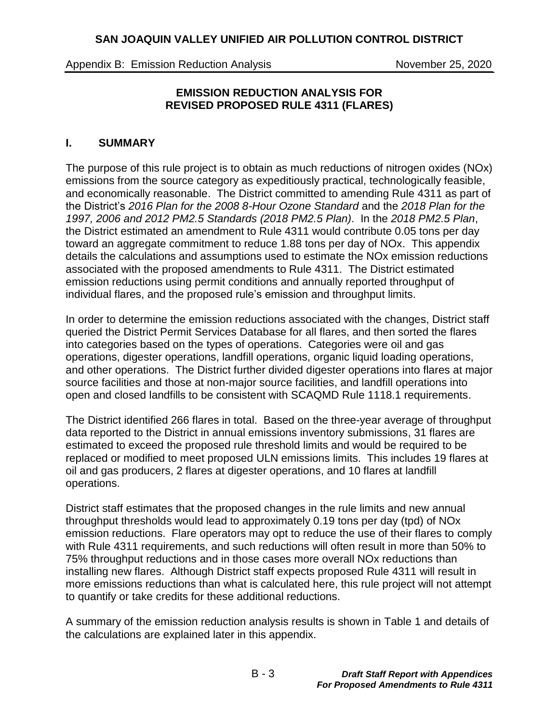#### **EMISSION REDUCTION ANALYSIS FOR REVISED PROPOSED RULE 4311 (FLARES)**

#### **I. SUMMARY**

The purpose of this rule project is to obtain as much reductions of nitrogen oxides (NOx) emissions from the source category as expeditiously practical, technologically feasible, and economically reasonable. The District committed to amending Rule 4311 as part of the District's *2016 Plan for the 2008 8-Hour Ozone Standard* and the *2018 Plan for the 1997, 2006 and 2012 PM2.5 Standards (2018 PM2.5 Plan)*. In the *2018 PM2.5 Plan*, the District estimated an amendment to Rule 4311 would contribute 0.05 tons per day toward an aggregate commitment to reduce 1.88 tons per day of NOx. This appendix details the calculations and assumptions used to estimate the NOx emission reductions associated with the proposed amendments to Rule 4311. The District estimated emission reductions using permit conditions and annually reported throughput of individual flares, and the proposed rule's emission and throughput limits.

In order to determine the emission reductions associated with the changes, District staff queried the District Permit Services Database for all flares, and then sorted the flares into categories based on the types of operations. Categories were oil and gas operations, digester operations, landfill operations, organic liquid loading operations, and other operations. The District further divided digester operations into flares at major source facilities and those at non-major source facilities, and landfill operations into open and closed landfills to be consistent with SCAQMD Rule 1118.1 requirements.

The District identified 266 flares in total. Based on the three-year average of throughput data reported to the District in annual emissions inventory submissions, 31 flares are estimated to exceed the proposed rule threshold limits and would be required to be replaced or modified to meet proposed ULN emissions limits. This includes 19 flares at oil and gas producers, 2 flares at digester operations, and 10 flares at landfill operations.

District staff estimates that the proposed changes in the rule limits and new annual throughput thresholds would lead to approximately 0.19 tons per day (tpd) of NOx emission reductions. Flare operators may opt to reduce the use of their flares to comply with Rule 4311 requirements, and such reductions will often result in more than 50% to 75% throughput reductions and in those cases more overall NOx reductions than installing new flares. Although District staff expects proposed Rule 4311 will result in more emissions reductions than what is calculated here, this rule project will not attempt to quantify or take credits for these additional reductions.

A summary of the emission reduction analysis results is shown in [Table](#page-3-0) 1 and details of the calculations are explained later in this appendix.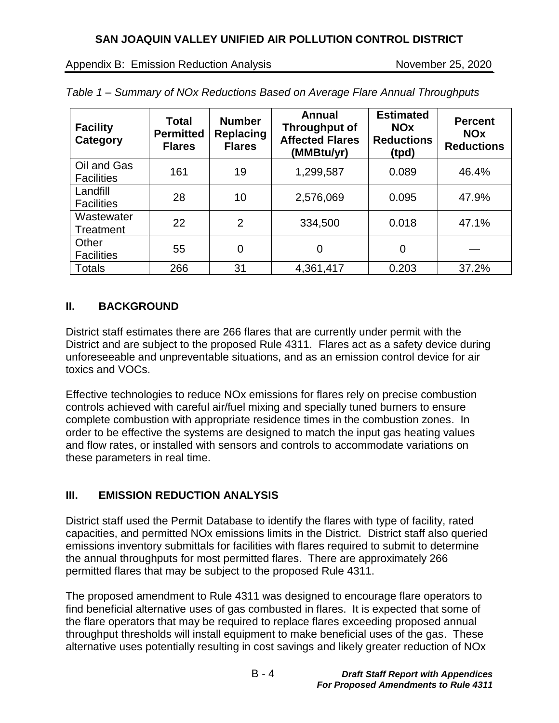| <b>Facility</b><br>Category      | <b>Total</b><br><b>Permitted</b><br><b>Flares</b> | <b>Number</b><br><b>Replacing</b><br><b>Flares</b> | Annual<br><b>Throughput of</b><br><b>Affected Flares</b><br>(MMBtu/yr) | <b>Estimated</b><br><b>NOx</b><br><b>Reductions</b><br>(tpd) | <b>Percent</b><br><b>NOx</b><br><b>Reductions</b> |  |
|----------------------------------|---------------------------------------------------|----------------------------------------------------|------------------------------------------------------------------------|--------------------------------------------------------------|---------------------------------------------------|--|
| Oil and Gas<br><b>Facilities</b> | 161                                               | 19                                                 | 1,299,587                                                              | 0.089                                                        | 46.4%                                             |  |
| Landfill<br><b>Facilities</b>    | 28                                                | 10                                                 | 2,576,069                                                              | 0.095                                                        | 47.9%                                             |  |
| Wastewater<br>Treatment          | 22                                                | 2                                                  | 334,500                                                                | 0.018                                                        | 47.1%                                             |  |
| Other<br><b>Facilities</b>       | 55                                                | $\overline{0}$                                     | 0                                                                      | $\overline{0}$                                               |                                                   |  |
| <b>Totals</b>                    | 266                                               | 31                                                 | 4,361,417                                                              | 0.203                                                        | 37.2%                                             |  |

<span id="page-3-0"></span>*Table 1 – Summary of NOx Reductions Based on Average Flare Annual Throughputs*

# **II. BACKGROUND**

District staff estimates there are 266 flares that are currently under permit with the District and are subject to the proposed Rule 4311. Flares act as a safety device during unforeseeable and unpreventable situations, and as an emission control device for air toxics and VOCs.

Effective technologies to reduce NOx emissions for flares rely on precise combustion controls achieved with careful air/fuel mixing and specially tuned burners to ensure complete combustion with appropriate residence times in the combustion zones. In order to be effective the systems are designed to match the input gas heating values and flow rates, or installed with sensors and controls to accommodate variations on these parameters in real time.

# **III. EMISSION REDUCTION ANALYSIS**

District staff used the Permit Database to identify the flares with type of facility, rated capacities, and permitted NOx emissions limits in the District. District staff also queried emissions inventory submittals for facilities with flares required to submit to determine the annual throughputs for most permitted flares. There are approximately 266 permitted flares that may be subject to the proposed Rule 4311.

The proposed amendment to Rule 4311 was designed to encourage flare operators to find beneficial alternative uses of gas combusted in flares. It is expected that some of the flare operators that may be required to replace flares exceeding proposed annual throughput thresholds will install equipment to make beneficial uses of the gas. These alternative uses potentially resulting in cost savings and likely greater reduction of NOx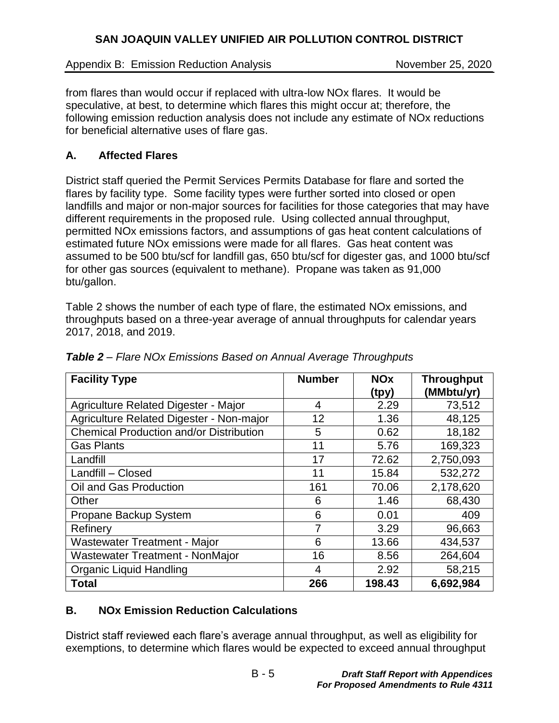#### **SAN JOAQUIN VALLEY UNIFIED AIR POLLUTION CONTROL DISTRICT**

Appendix B: Emission Reduction Analysis November 25, 2020

from flares than would occur if replaced with ultra-low NOx flares. It would be speculative, at best, to determine which flares this might occur at; therefore, the following emission reduction analysis does not include any estimate of NOx reductions for beneficial alternative uses of flare gas.

### **A. Affected Flares**

District staff queried the Permit Services Permits Database for flare and sorted the flares by facility type. Some facility types were further sorted into closed or open landfills and major or non-major sources for facilities for those categories that may have different requirements in the proposed rule. Using collected annual throughput, permitted NOx emissions factors, and assumptions of gas heat content calculations of estimated future NOx emissions were made for all flares. Gas heat content was assumed to be 500 btu/scf for landfill gas, 650 btu/scf for digester gas, and 1000 btu/scf for other gas sources (equivalent to methane). Propane was taken as 91,000 btu/gallon.

[Table](#page-4-0) 2 shows the number of each type of flare, the estimated NOx emissions, and throughputs based on a three-year average of annual throughputs for calendar years 2017, 2018, and 2019.

| <b>Facility Type</b>                           | <b>Number</b> | <b>NOx</b> | <b>Throughput</b> |
|------------------------------------------------|---------------|------------|-------------------|
|                                                |               | (tpy)      | (MMbtu/yr)        |
| Agriculture Related Digester - Major           | 4             | 2.29       | 73,512            |
| Agriculture Related Digester - Non-major       | 12            | 1.36       | 48,125            |
| <b>Chemical Production and/or Distribution</b> | 5             | 0.62       | 18,182            |
| <b>Gas Plants</b>                              | 11            | 5.76       | 169,323           |
| Landfill                                       | 17            | 72.62      | 2,750,093         |
| Landfill - Closed                              | 11            | 15.84      | 532,272           |
| Oil and Gas Production                         | 161           | 70.06      | 2,178,620         |
| Other                                          | 6             | 1.46       | 68,430            |
| Propane Backup System                          | 6             | 0.01       | 409               |
| Refinery                                       | 7             | 3.29       | 96,663            |
| <b>Wastewater Treatment - Major</b>            | 6             | 13.66      | 434,537           |
| <b>Wastewater Treatment - NonMajor</b>         | 16            | 8.56       | 264,604           |
| <b>Organic Liquid Handling</b>                 | 4             | 2.92       | 58,215            |
| <b>Total</b>                                   | 266           | 198.43     | 6,692,984         |

<span id="page-4-0"></span>*Table 2 – Flare NOx Emissions Based on Annual Average Throughputs*

# **B. NOx Emission Reduction Calculations**

District staff reviewed each flare's average annual throughput, as well as eligibility for exemptions, to determine which flares would be expected to exceed annual throughput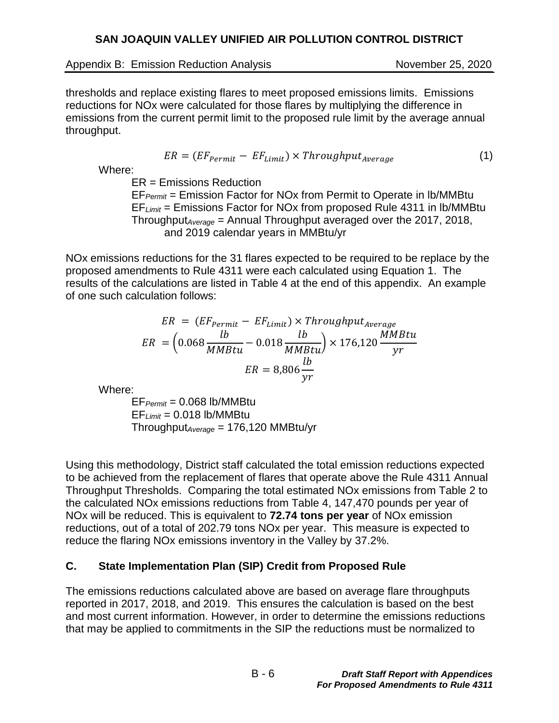thresholds and replace existing flares to meet proposed emissions limits. Emissions reductions for NOx were calculated for those flares by multiplying the difference in emissions from the current permit limit to the proposed rule limit by the average annual throughput.

$$
ER = (EF_{permit} - EF_{Limit}) \times Throughput_{Average}
$$
 (1)

Where:

ER = Emissions Reduction

EF*Permit* = Emission Factor for NOx from Permit to Operate in lb/MMBtu EF*Limit* = Emissions Factor for NOx from proposed Rule 4311 in lb/MMBtu Throughput*Average* = Annual Throughput averaged over the 2017, 2018, and 2019 calendar years in MMBtu/yr

NOx emissions reductions for the 31 flares expected to be required to be replace by the proposed amendments to Rule 4311 were each calculated using Equation 1. The results of the calculations are listed in [Table](#page-7-0) 4 at the end of this appendix. An example of one such calculation follows:

$$
ER = (EF_{Permit} - EF_{Limit}) \times Throughput_{Average}
$$
  

$$
ER = \left(0.068 \frac{lb}{MMBtu} - 0.018 \frac{lb}{MMBtu}\right) \times 176,120 \frac{MMBtu}{yr}
$$
  

$$
ER = 8,806 \frac{lb}{yr}
$$

Where:

EF*Permit* = 0.068 lb/MMBtu  $EF_{limit} = 0.018$  lb/MMBtu Throughput*Average* = 176,120 MMBtu/yr

Using this methodology, District staff calculated the total emission reductions expected to be achieved from the replacement of flares that operate above the Rule 4311 Annual Throughput Thresholds. Comparing the total estimated NOx emissions from [Table](#page-4-0) 2 to the calculated NOx emissions reductions from [Table](#page-7-0) 4, 147,470 pounds per year of NOx will be reduced. This is equivalent to **72.74 tons per year** of NOx emission reductions, out of a total of 202.79 tons NOx per year. This measure is expected to reduce the flaring NOx emissions inventory in the Valley by 37.2%.

# **C. State Implementation Plan (SIP) Credit from Proposed Rule**

The emissions reductions calculated above are based on average flare throughputs reported in 2017, 2018, and 2019. This ensures the calculation is based on the best and most current information. However, in order to determine the emissions reductions that may be applied to commitments in the SIP the reductions must be normalized to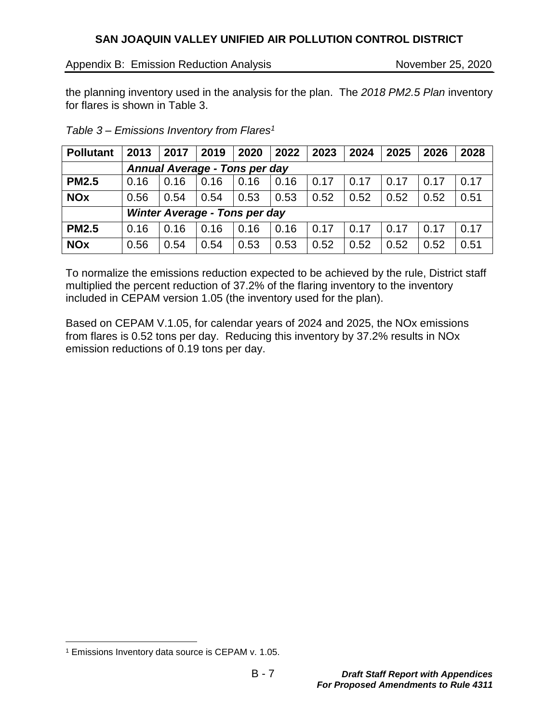#### **SAN JOAQUIN VALLEY UNIFIED AIR POLLUTION CONTROL DISTRICT**

#### Appendix B: Emission Reduction Analysis November 25, 2020

the planning inventory used in the analysis for the plan. The *2018 PM2.5 Plan* inventory for flares is shown in [Table](#page-6-0) 3.

| <b>Pollutant</b>      | 2013                          | 2017 | 2019 | 2020 | 2022 | 2023 | 2024 | 2025 | 2026 | 2028 |
|-----------------------|-------------------------------|------|------|------|------|------|------|------|------|------|
|                       | Annual Average - Tons per day |      |      |      |      |      |      |      |      |      |
| <b>PM2.5</b>          | 0.16                          | 0.16 | 0.16 | 0.16 | 0.16 | 0.17 | 0.17 | 0.17 | 0.17 | 0.17 |
| <b>NO<sub>x</sub></b> | 0.56                          | 0.54 | 0.54 | 0.53 | 0.53 | 0.52 | 0.52 | 0.52 | 0.52 | 0.51 |
|                       | Winter Average - Tons per day |      |      |      |      |      |      |      |      |      |
| <b>PM2.5</b>          | 0.16                          | 0.16 | 0.16 | 0.16 | 0.16 | 0.17 | 0.17 | 0.17 | 0.17 | 0.17 |
| <b>NOx</b>            | 0.56                          | 0.54 | 0.54 | 0.53 | 0.53 | 0.52 | 0.52 | 0.52 | 0.52 | 0.51 |

<span id="page-6-0"></span>*Table 3 – Emissions Inventory from Flares<sup>1</sup>*

To normalize the emissions reduction expected to be achieved by the rule, District staff multiplied the percent reduction of 37.2% of the flaring inventory to the inventory included in CEPAM version 1.05 (the inventory used for the plan).

Based on CEPAM V.1.05, for calendar years of 2024 and 2025, the NOx emissions from flares is 0.52 tons per day. Reducing this inventory by 37.2% results in NOx emission reductions of 0.19 tons per day.

 $\overline{a}$ <sup>1</sup> Emissions Inventory data source is CEPAM v. 1.05.